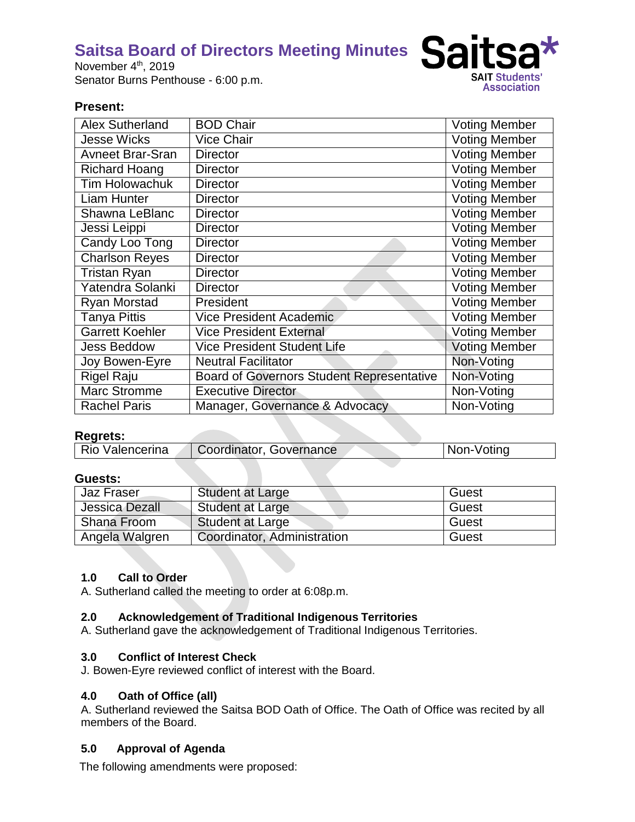November 4<sup>th</sup>, 2019 Senator Burns Penthouse - 6:00 p.m.



## **Present:**

| <b>Alex Sutherland</b>  | <b>BOD Chair</b>                                 | <b>Voting Member</b> |
|-------------------------|--------------------------------------------------|----------------------|
| <b>Jesse Wicks</b>      | <b>Vice Chair</b>                                | <b>Voting Member</b> |
| <b>Avneet Brar-Sran</b> | <b>Director</b>                                  | <b>Voting Member</b> |
| <b>Richard Hoang</b>    | <b>Director</b>                                  | <b>Voting Member</b> |
| <b>Tim Holowachuk</b>   | <b>Director</b>                                  | <b>Voting Member</b> |
| Liam Hunter             | <b>Director</b>                                  | <b>Voting Member</b> |
| Shawna LeBlanc          | <b>Director</b>                                  | <b>Voting Member</b> |
| Jessi Leippi            | <b>Director</b>                                  | <b>Voting Member</b> |
| Candy Loo Tong          | <b>Director</b>                                  | <b>Voting Member</b> |
| <b>Charlson Reyes</b>   | <b>Director</b>                                  | <b>Voting Member</b> |
| <b>Tristan Ryan</b>     | <b>Director</b>                                  | <b>Voting Member</b> |
| Yatendra Solanki        | <b>Director</b>                                  | <b>Voting Member</b> |
| <b>Ryan Morstad</b>     | President                                        | <b>Voting Member</b> |
| <b>Tanya Pittis</b>     | <b>Vice President Academic</b>                   | <b>Voting Member</b> |
| <b>Garrett Koehler</b>  | <b>Vice President External</b>                   | <b>Voting Member</b> |
| <b>Jess Beddow</b>      | <b>Vice President Student Life</b>               | <b>Voting Member</b> |
| Joy Bowen-Eyre          | <b>Neutral Facilitator</b>                       | Non-Voting           |
| <b>Rigel Raju</b>       | <b>Board of Governors Student Representative</b> | Non-Voting           |
| Marc Stromme            | <b>Executive Director</b>                        | Non-Voting           |
| <b>Rachel Paris</b>     | Manager, Governance & Advocacy                   | Non-Voting           |

## **Regrets:**

| Rio Valencerina | Coordinator, Governance | Non-Voting |
|-----------------|-------------------------|------------|
|                 |                         |            |

## **Guests:**

| Jaz Fraser     | Student at Large            | Guest |
|----------------|-----------------------------|-------|
| Jessica Dezall | <b>Student at Large</b>     | Guest |
| Shana Froom    | Student at Large            | Guest |
| Angela Walgren | Coordinator, Administration | Guest |

## **1.0 Call to Order**

A. Sutherland called the meeting to order at 6:08p.m.

## **2.0 Acknowledgement of Traditional Indigenous Territories**

A. Sutherland gave the acknowledgement of Traditional Indigenous Territories.

## **3.0 Conflict of Interest Check**

J. Bowen-Eyre reviewed conflict of interest with the Board.

#### **4.0 Oath of Office (all)**

A. Sutherland reviewed the Saitsa BOD Oath of Office. The Oath of Office was recited by all members of the Board.

## **5.0 Approval of Agenda**

The following amendments were proposed: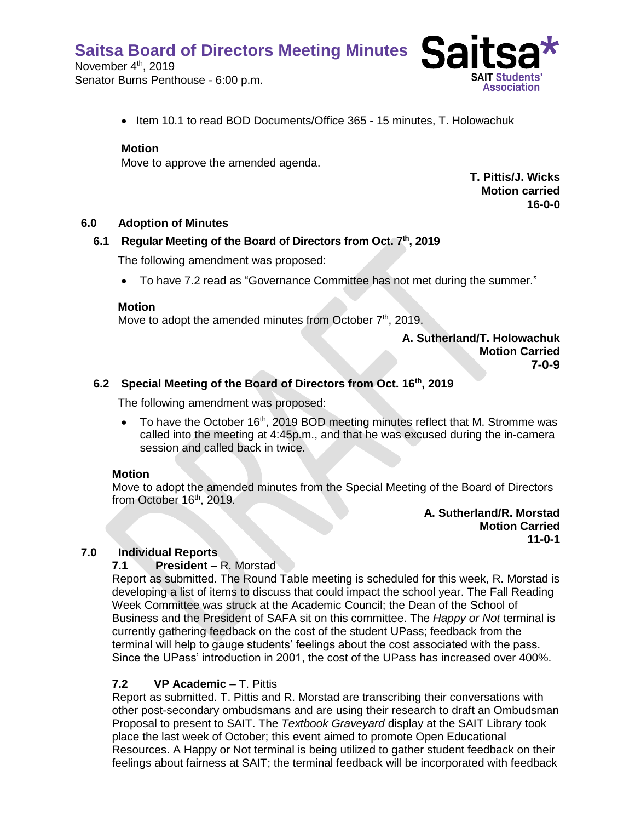November 4<sup>th</sup>, 2019 Senator Burns Penthouse - 6:00 p.m.



• Item 10.1 to read BOD Documents/Office 365 - 15 minutes, T. Holowachuk

#### **Motion**

Move to approve the amended agenda.

**T. Pittis/J. Wicks Motion carried 16-0-0**

#### **6.0 Adoption of Minutes**

#### **6.1 Regular Meeting of the Board of Directors from Oct. 7th, 2019**

The following amendment was proposed:

• To have 7.2 read as "Governance Committee has not met during the summer."

#### **Motion**

Move to adopt the amended minutes from October  $7<sup>th</sup>$ , 2019.

**A. Sutherland/T. Holowachuk Motion Carried 7-0-9**

## **6.2 Special Meeting of the Board of Directors from Oct. 16th, 2019**

The following amendment was proposed:

• To have the October 16<sup>th</sup>, 2019 BOD meeting minutes reflect that M. Stromme was called into the meeting at 4:45p.m., and that he was excused during the in-camera session and called back in twice.

#### **Motion**

Move to adopt the amended minutes from the Special Meeting of the Board of Directors from October 16<sup>th</sup>, 2019.

> **A. Sutherland/R. Morstad Motion Carried 11-0-1**

## **7.0 Individual Reports**

#### **7.1 President** – R. Morstad

Report as submitted. The Round Table meeting is scheduled for this week, R. Morstad is developing a list of items to discuss that could impact the school year. The Fall Reading Week Committee was struck at the Academic Council; the Dean of the School of Business and the President of SAFA sit on this committee. The *Happy or Not* terminal is currently gathering feedback on the cost of the student UPass; feedback from the terminal will help to gauge students' feelings about the cost associated with the pass. Since the UPass' introduction in 2001, the cost of the UPass has increased over 400%.

#### **7.2 VP Academic** – T. Pittis

Report as submitted. T. Pittis and R. Morstad are transcribing their conversations with other post-secondary ombudsmans and are using their research to draft an Ombudsman Proposal to present to SAIT. The *Textbook Graveyard* display at the SAIT Library took place the last week of October; this event aimed to promote Open Educational Resources. A Happy or Not terminal is being utilized to gather student feedback on their feelings about fairness at SAIT; the terminal feedback will be incorporated with feedback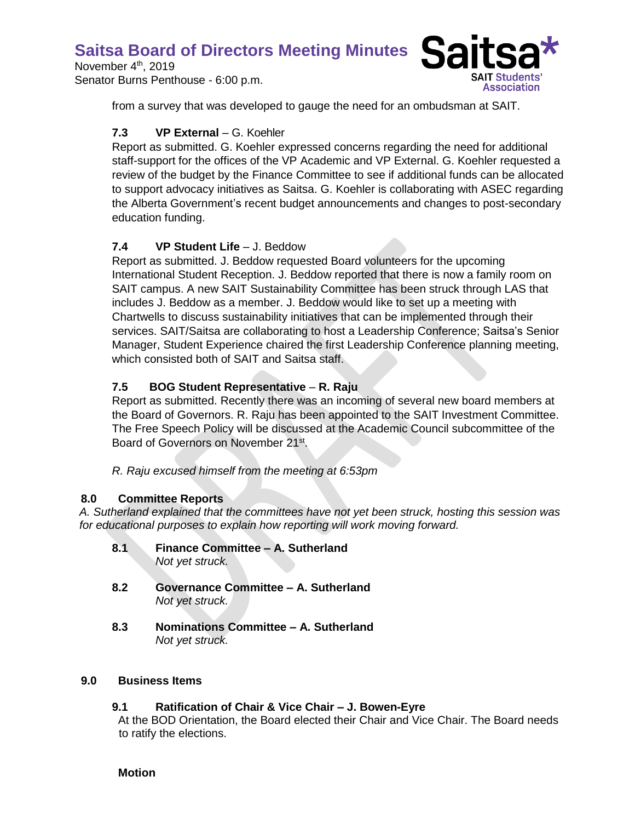November 4<sup>th</sup>, 2019 Senator Burns Penthouse - 6:00 p.m.



from a survey that was developed to gauge the need for an ombudsman at SAIT.

# **7.3 VP External** – G. Koehler

Report as submitted. G. Koehler expressed concerns regarding the need for additional staff-support for the offices of the VP Academic and VP External. G. Koehler requested a review of the budget by the Finance Committee to see if additional funds can be allocated to support advocacy initiatives as Saitsa. G. Koehler is collaborating with ASEC regarding the Alberta Government's recent budget announcements and changes to post-secondary education funding.

# **7.4 VP Student Life** – J. Beddow

Report as submitted. J. Beddow requested Board volunteers for the upcoming International Student Reception. J. Beddow reported that there is now a family room on SAIT campus. A new SAIT Sustainability Committee has been struck through LAS that includes J. Beddow as a member. J. Beddow would like to set up a meeting with Chartwells to discuss sustainability initiatives that can be implemented through their services. SAIT/Saitsa are collaborating to host a Leadership Conference; Saitsa's Senior Manager, Student Experience chaired the first Leadership Conference planning meeting, which consisted both of SAIT and Saitsa staff.

# **7.5 BOG Student Representative** – **R. Raju**

Report as submitted. Recently there was an incoming of several new board members at the Board of Governors. R. Raju has been appointed to the SAIT Investment Committee. The Free Speech Policy will be discussed at the Academic Council subcommittee of the Board of Governors on November 21<sup>st</sup>.

*R. Raju excused himself from the meeting at 6:53pm*

# **8.0 Committee Reports**

*A. Sutherland explained that the committees have not yet been struck, hosting this session was for educational purposes to explain how reporting will work moving forward.*

- **8.1 Finance Committee – A. Sutherland** *Not yet struck.*
- **8.2 Governance Committee – A. Sutherland** *Not yet struck.*
- **8.3 Nominations Committee – A. Sutherland** *Not yet struck.*

## **9.0 Business Items**

# **9.1 Ratification of Chair & Vice Chair – J. Bowen-Eyre**

At the BOD Orientation, the Board elected their Chair and Vice Chair. The Board needs to ratify the elections.

**Motion**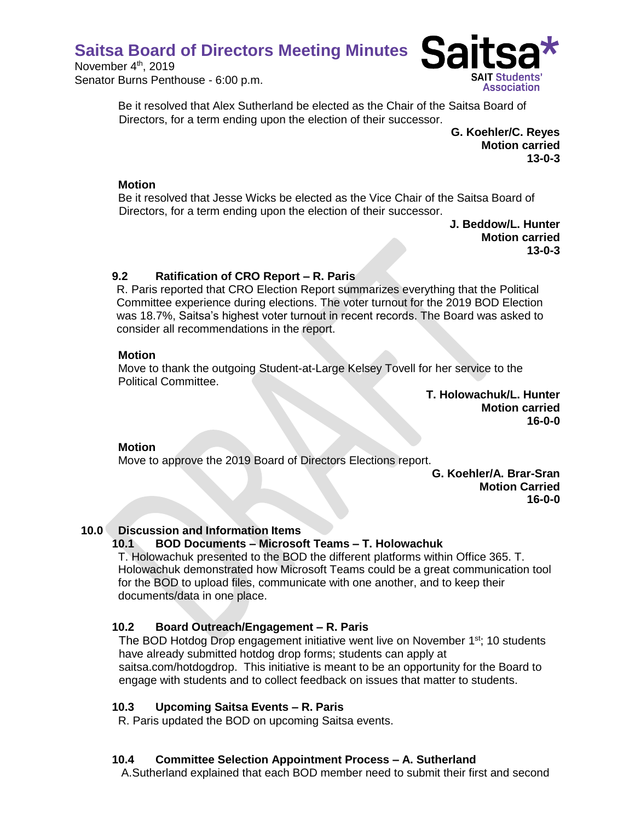November 4<sup>th</sup>, 2019 Senator Burns Penthouse - 6:00 p.m.



Be it resolved that Alex Sutherland be elected as the Chair of the Saitsa Board of Directors, for a term ending upon the election of their successor.

> **G. Koehler/C. Reyes Motion carried 13-0-3**

#### **Motion**

Be it resolved that Jesse Wicks be elected as the Vice Chair of the Saitsa Board of Directors, for a term ending upon the election of their successor.

**J. Beddow/L. Hunter Motion carried 13-0-3**

## **9.2 Ratification of CRO Report – R. Paris**

R. Paris reported that CRO Election Report summarizes everything that the Political Committee experience during elections. The voter turnout for the 2019 BOD Election was 18.7%, Saitsa's highest voter turnout in recent records. The Board was asked to consider all recommendations in the report.

## **Motion**

Move to thank the outgoing Student-at-Large Kelsey Tovell for her service to the Political Committee.

> **T. Holowachuk/L. Hunter Motion carried 16-0-0**

# **Motion**

Move to approve the 2019 Board of Directors Elections report.

**G. Koehler/A. Brar-Sran Motion Carried 16-0-0**

# **10.0 Discussion and Information Items**

# **10.1 BOD Documents – Microsoft Teams – T. Holowachuk**

T. Holowachuk presented to the BOD the different platforms within Office 365. T. Holowachuk demonstrated how Microsoft Teams could be a great communication tool for the BOD to upload files, communicate with one another, and to keep their documents/data in one place.

# **10.2 Board Outreach/Engagement – R. Paris**

The BOD Hotdog Drop engagement initiative went live on November 1<sup>st</sup>; 10 students have already submitted hotdog drop forms; students can apply at saitsa.com/hotdogdrop. This initiative is meant to be an opportunity for the Board to engage with students and to collect feedback on issues that matter to students.

## **10.3 Upcoming Saitsa Events – R. Paris**

R. Paris updated the BOD on upcoming Saitsa events.

# **10.4 Committee Selection Appointment Process – A. Sutherland**

A.Sutherland explained that each BOD member need to submit their first and second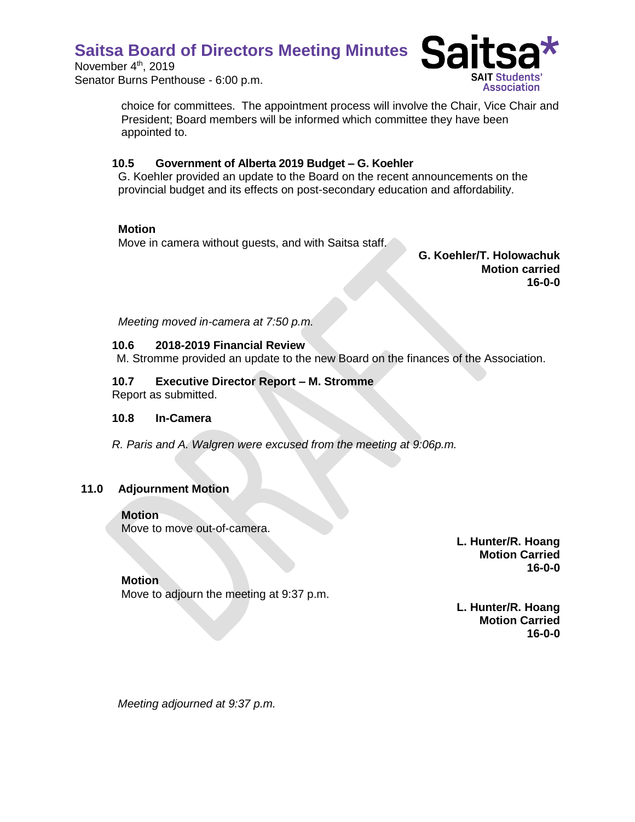November 4<sup>th</sup>, 2019 Senator Burns Penthouse - 6:00 p.m.



choice for committees. The appointment process will involve the Chair, Vice Chair and President; Board members will be informed which committee they have been appointed to.

## **10.5 Government of Alberta 2019 Budget – G. Koehler**

G. Koehler provided an update to the Board on the recent announcements on the provincial budget and its effects on post-secondary education and affordability.

## **Motion**

Move in camera without guests, and with Saitsa staff.

**G. Koehler/T. Holowachuk Motion carried 16-0-0**

*Meeting moved in-camera at 7:50 p.m.* 

## **10.6 2018-2019 Financial Review**

M. Stromme provided an update to the new Board on the finances of the Association.

# **10.7 Executive Director Report – M. Stromme**

Report as submitted.

## **10.8 In-Camera**

*R. Paris and A. Walgren were excused from the meeting at 9:06p.m.*

# **11.0 Adjournment Motion**

## **Motion**

Move to move out-of-camera.

**L. Hunter/R. Hoang Motion Carried 16-0-0**

## **Motion**

Move to adjourn the meeting at 9:37 p.m.

**L. Hunter/R. Hoang Motion Carried 16-0-0**

*Meeting adjourned at 9:37 p.m.*